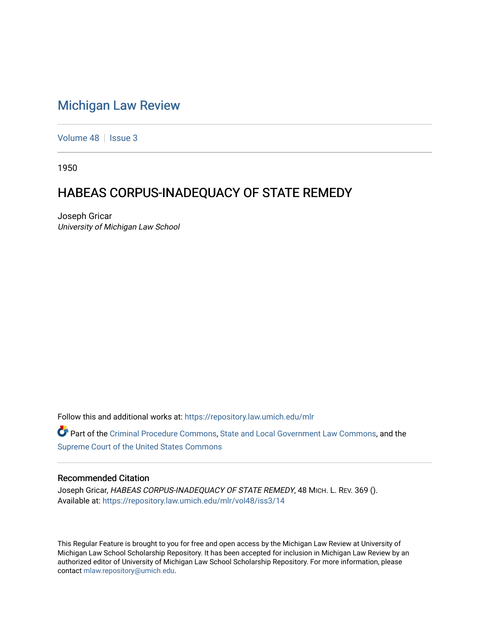## [Michigan Law Review](https://repository.law.umich.edu/mlr)

[Volume 48](https://repository.law.umich.edu/mlr/vol48) | [Issue 3](https://repository.law.umich.edu/mlr/vol48/iss3)

1950

## HABEAS CORPUS-INADEQUACY OF STATE REMEDY

Joseph Gricar University of Michigan Law School

Follow this and additional works at: [https://repository.law.umich.edu/mlr](https://repository.law.umich.edu/mlr?utm_source=repository.law.umich.edu%2Fmlr%2Fvol48%2Fiss3%2F14&utm_medium=PDF&utm_campaign=PDFCoverPages) 

Part of the [Criminal Procedure Commons,](http://network.bepress.com/hgg/discipline/1073?utm_source=repository.law.umich.edu%2Fmlr%2Fvol48%2Fiss3%2F14&utm_medium=PDF&utm_campaign=PDFCoverPages) [State and Local Government Law Commons](http://network.bepress.com/hgg/discipline/879?utm_source=repository.law.umich.edu%2Fmlr%2Fvol48%2Fiss3%2F14&utm_medium=PDF&utm_campaign=PDFCoverPages), and the [Supreme Court of the United States Commons](http://network.bepress.com/hgg/discipline/1350?utm_source=repository.law.umich.edu%2Fmlr%2Fvol48%2Fiss3%2F14&utm_medium=PDF&utm_campaign=PDFCoverPages) 

## Recommended Citation

Joseph Gricar, HABEAS CORPUS-INADEQUACY OF STATE REMEDY, 48 MICH. L. REV. 369 (). Available at: [https://repository.law.umich.edu/mlr/vol48/iss3/14](https://repository.law.umich.edu/mlr/vol48/iss3/14?utm_source=repository.law.umich.edu%2Fmlr%2Fvol48%2Fiss3%2F14&utm_medium=PDF&utm_campaign=PDFCoverPages) 

This Regular Feature is brought to you for free and open access by the Michigan Law Review at University of Michigan Law School Scholarship Repository. It has been accepted for inclusion in Michigan Law Review by an authorized editor of University of Michigan Law School Scholarship Repository. For more information, please contact [mlaw.repository@umich.edu](mailto:mlaw.repository@umich.edu).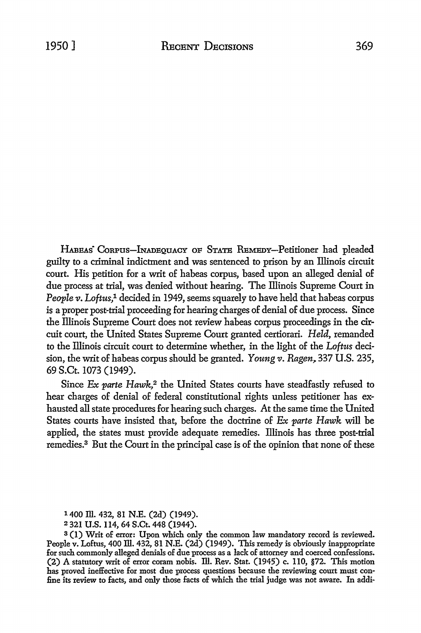HABEAS CORPUS-INADEQUACY OF STATE REMEDY-Petitioner had pleaded guilty to a criminal indictment and was sentenced to prison by an Illinois circuit court. His petition for a writ of habeas corpus, based upon an alleged denial of due process at trial, was denied without hearing. The lliinois Supreme Court in *People v. Loftus*,<sup>1</sup> decided in 1949, seems squarely to have held that habeas corpus is a proper post-trial proceeding for hearing charges of denial of due process. Since the Illinois Supreme Court does not review habeas corpus proceedings in the circuit court, the United States Supreme Court granted certiorari. *Held,* remanded to the lliinois circuit court to determine whether, in the light of the *Loftiis* decision, the writ of habeas corpus should be granted. Young v. Ragen, 337 U.S. 235, 69 S.Ct. 1073 (1949).

Since Ex parte Hawk,<sup>2</sup> the United States courts have steadfastly refused to hear charges of denial of federal constitutional rights unless petitioner has exhausted all state procedures for hearing such charges. *At* the same time the United States courts have insisted that, before the doctrine of Ex parte Hawk will be applied, the states must provide adequate remedies. Illinois has three post-trial remedies.3 But the Court in the principal case is of the opinion that none of these

<sup>1400</sup> Ill. 432, 81 N.E. (2d) (1949).

<sup>2</sup> 321 U.S.114, 64 S.Ct. 448 (1944).

<sup>8 (</sup>I) Writ of error: Upon which only the common law mandatory record is reviewed. People v. Loftus, 400 Ill. 432, 81 N.E. (2d) (1949). This remedy is obviously inappropriate for such commonly alleged denials of due process as a lack of attorney and coerced confessions. (2) A statutory writ of error coram nobis. ill. Rev. Stat. (1945) c. 110, §72. This motion has proved ineffective for most due process questions because the reviewing court must confine its review to facts, and only those facts of which the trial judge was not aware. In addi-